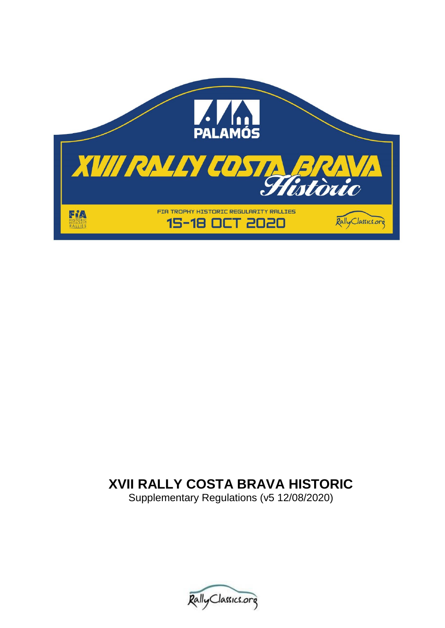

# **XVII RALLY COSTA BRAVA HISTORIC**

Supplementary Regulations (v5 12/08/2020)

Rally Classics.org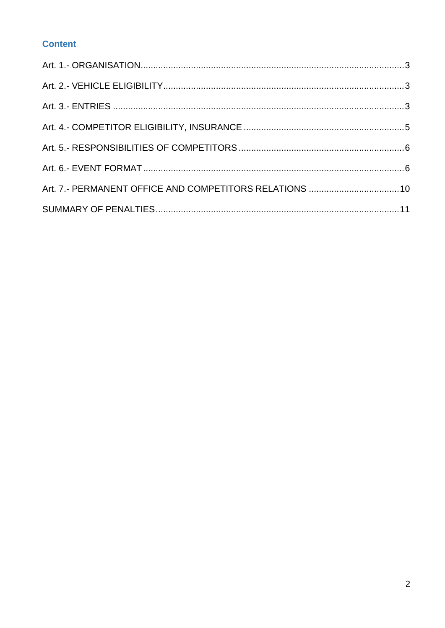# **Content**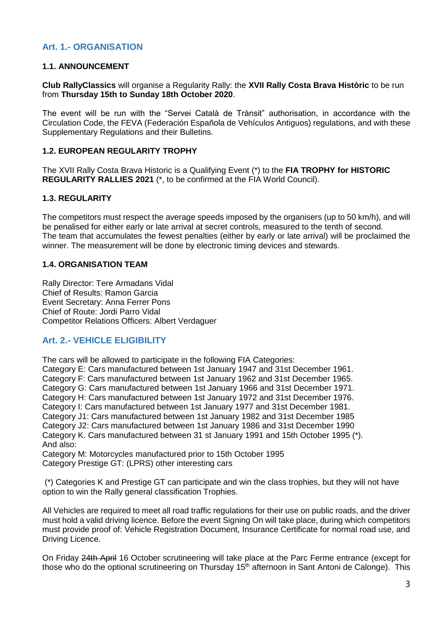## <span id="page-2-0"></span>**Art. 1.- ORGANISATION**

#### **1.1. ANNOUNCEMENT**

**Club RallyClassics** will organise a Regularity Rally: the **XVII Rally Costa Brava Històric** to be run from **Thursday 15th to Sunday 18th October 2020**.

The event will be run with the "Servei Català de Trànsit" authorisation, in accordance with the Circulation Code, the FEVA (Federación Española de Vehículos Antiguos) regulations, and with these Supplementary Regulations and their Bulletins.

#### **1.2. EUROPEAN REGULARITY TROPHY**

The XVII Rally Costa Brava Historic is a Qualifying Event (\*) to the **FIA TROPHY for HISTORIC REGULARITY RALLIES 2021** (\*, to be confirmed at the FIA World Council).

### **1.3. REGULARITY**

The competitors must respect the average speeds imposed by the organisers (up to 50 km/h), and will be penalised for either early or late arrival at secret controls, measured to the tenth of second. The team that accumulates the fewest penalties (either by early or late arrival) will be proclaimed the winner. The measurement will be done by electronic timing devices and stewards.

#### **1.4. ORGANISATION TEAM**

Rally Director: Tere Armadans Vidal Chief of Results: Ramon Garcia Event Secretary: Anna Ferrer Pons Chief of Route: Jordi Parro Vidal Competitor Relations Officers: Albert Verdaguer

## <span id="page-2-1"></span>**Art. 2.- VEHICLE ELIGIBILITY**

<span id="page-2-2"></span>The cars will be allowed to participate in the following FIA Categories:

Category E: Cars manufactured between 1st January 1947 and 31st December 1961.

Category F: Cars manufactured between 1st January 1962 and 31st December 1965.

Category G: Cars manufactured between 1st January 1966 and 31st December 1971.

Category H: Cars manufactured between 1st January 1972 and 31st December 1976.

Category I: Cars manufactured between 1st January 1977 and 31st December 1981.

Category J1: Cars manufactured between 1st January 1982 and 31st December 1985

Category J2: Cars manufactured between 1st January 1986 and 31st December 1990 Category K. Cars manufactured between 31 st January 1991 and 15th October 1995 (\*).

And also:

Category M: Motorcycles manufactured prior to 15th October 1995 Category Prestige GT: (LPRS) other interesting cars

(\*) Categories K and Prestige GT can participate and win the class trophies, but they will not have option to win the Rally general classification Trophies.

All Vehicles are required to meet all road traffic regulations for their use on public roads, and the driver must hold a valid driving licence. Before the event Signing On will take place, during which competitors must provide proof of: Vehicle Registration Document, Insurance Certificate for normal road use, and Driving Licence.

On Friday 24th April 16 October scrutineering will take place at the Parc Ferme entrance (except for those who do the optional scrutineering on Thursday 15<sup>th</sup> afternoon in Sant Antoni de Calonge). This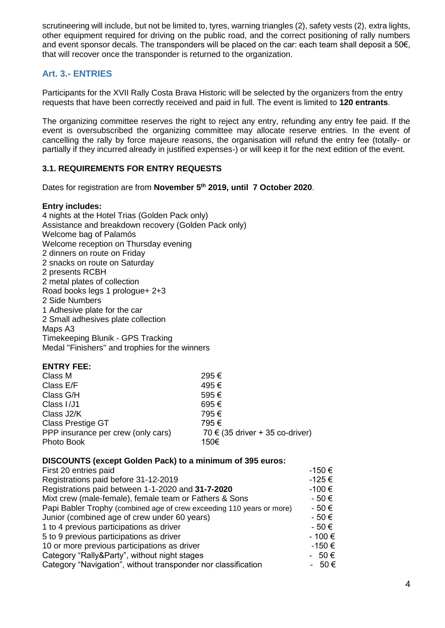scrutineering will include, but not be limited to, tyres, warning triangles (2), safety vests (2), extra lights, other equipment required for driving on the public road, and the correct positioning of rally numbers and event sponsor decals. The transponders will be placed on the car: each team shall deposit a 50€, that will recover once the transponder is returned to the organization.

# **Art. 3.- ENTRIES**

Participants for the XVII Rally Costa Brava Historic will be selected by the organizers from the entry requests that have been correctly received and paid in full. The event is limited to **120 entrants**.

The organizing committee reserves the right to reject any entry, refunding any entry fee paid. If the event is oversubscribed the organizing committee may allocate reserve entries. In the event of cancelling the rally by force majeure reasons, the organisation will refund the entry fee (totally- or partially if they incurred already in justified expenses-) or will keep it for the next edition of the event.

## **3.1. REQUIREMENTS FOR ENTRY REQUESTS**

Dates for registration are from **November 5 th 2019, until 7 October 2020**.

#### **Entry includes:**

4 nights at the Hotel Trias (Golden Pack only) Assistance and breakdown recovery (Golden Pack only) Welcome bag of Palamós Welcome reception on Thursday evening 2 dinners on route on Friday 2 snacks on route on Saturday 2 presents RCBH 2 metal plates of collection Road books legs 1 prologue+ 2+3 2 Side Numbers 1 Adhesive plate for the car 2 Small adhesives plate collection Maps A3 Timekeeping Blunik - GPS Tracking Medal "Finishers" and trophies for the winners

#### **ENTRY FEE:**

| Class M                            | 295 €                               |
|------------------------------------|-------------------------------------|
| Class E/F                          | 495€                                |
| Class G/H                          | 595€                                |
| Class I/J1                         | 695€                                |
| Class J2/K                         | 795€                                |
| Class Prestige GT                  | 795€                                |
| PPP insurance per crew (only cars) | 70 $\in$ (35 driver + 35 co-driver) |
| Photo Book                         | 150€                                |

## **DISCOUNTS (except Golden Pack) to a minimum of 395 euros:**

| First 20 entries paid                                                 | -150 €    |
|-----------------------------------------------------------------------|-----------|
| Registrations paid before 31-12-2019                                  | -125€     |
| Registrations paid between 1-1-2020 and 31-7-2020                     | -100€     |
| Mixt crew (male-female), female team or Fathers & Sons                | $-50 \in$ |
| Papi Babler Trophy (combined age of crew exceeding 110 years or more) | - 50 €    |
| Junior (combined age of crew under 60 years)                          | $-50 \in$ |
| 1 to 4 previous participations as driver                              | $-50 \in$ |
| 5 to 9 previous participations as driver                              | - 100 €   |
| 10 or more previous participations as driver                          | $-150€$   |
| Category "Rally&Party", without night stages                          | $-50€$    |
| Category "Navigation", without transponder nor classification         | 50 €<br>- |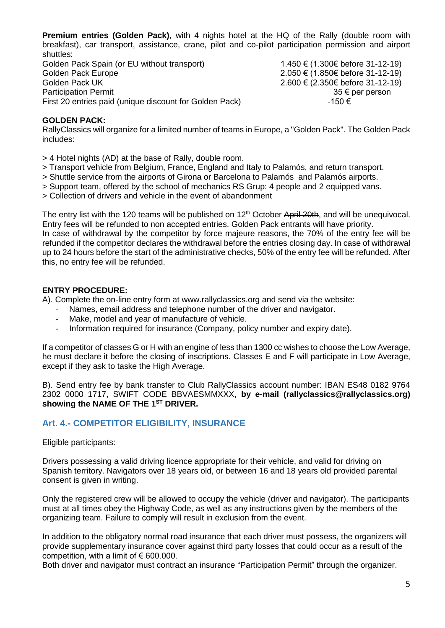**Premium entries (Golden Pack)**, with 4 nights hotel at the HQ of the Rally (double room with breakfast), car transport, assistance, crane, pilot and co-pilot participation permission and airport shuttles:

Golden Pack Spain (or EU without transport)  $1.450 \in (1.300 \in \text{before } 31-12-19)$ Golden Pack Europe 2.050 € (1.850€ before 31-12-19) Golden Pack UK  $\qquad 2.600 \in (2.3506 \text{ before } 31-12-19)$ Participation Permit 35 € per person First 20 entries paid (unique discount for Golden Pack)  $-150 \in$ 

#### **GOLDEN PACK:**

RallyClassics will organize for a limited number of teams in Europe, a "Golden Pack". The Golden Pack includes:

- > 4 Hotel nights (AD) at the base of Rally, double room.
- > Transport vehicle from Belgium, France, England and Italy to Palamós, and return transport.
- > Shuttle service from the airports of Girona or Barcelona to Palamós and Palamós airports.
- > Support team, offered by the school of mechanics RS Grup: 4 people and 2 equipped vans.
- > Collection of drivers and vehicle in the event of abandonment

The entry list with the 120 teams will be published on 12<sup>th</sup> October April 20th, and will be unequivocal. Entry fees will be refunded to non accepted entries. Golden Pack entrants will have priority. In case of withdrawal by the competitor by force majeure reasons, the 70% of the entry fee will be refunded if the competitor declares the withdrawal before the entries closing day. In case of withdrawal up to 24 hours before the start of the administrative checks, 50% of the entry fee will be refunded. After this, no entry fee will be refunded.

#### **ENTRY PROCEDURE:**

A). Complete the on-line entry form at www.rallyclassics.org and send via the website:

- Names, email address and telephone number of the driver and navigator.
- Make, model and year of manufacture of vehicle.
- Information required for insurance (Company, policy number and expiry date).

If a competitor of classes G or H with an engine of less than 1300 cc wishes to choose the Low Average, he must declare it before the closing of inscriptions. Classes E and F will participate in Low Average, except if they ask to taske the High Average.

B). Send entry fee by bank transfer to Club RallyClassics account number: IBAN ES48 0182 9764 2302 0000 1717, SWIFT CODE BBVAESMMXXX, **by e-mail (rallyclassics@rallyclassics.org) showing the NAME OF THE 1ST DRIVER.**

## <span id="page-4-0"></span>**Art. 4.- COMPETITOR ELIGIBILITY, INSURANCE**

Eligible participants:

Drivers possessing a valid driving licence appropriate for their vehicle, and valid for driving on Spanish territory. Navigators over 18 years old, or between 16 and 18 years old provided parental consent is given in writing.

Only the registered crew will be allowed to occupy the vehicle (driver and navigator). The participants must at all times obey the Highway Code, as well as any instructions given by the members of the organizing team. Failure to comply will result in exclusion from the event.

In addition to the obligatory normal road insurance that each driver must possess, the organizers will provide supplementary insurance cover against third party losses that could occur as a result of the competition, with a limit of  $\epsilon$  600.000.

Both driver and navigator must contract an insurance "Participation Permit" through the organizer.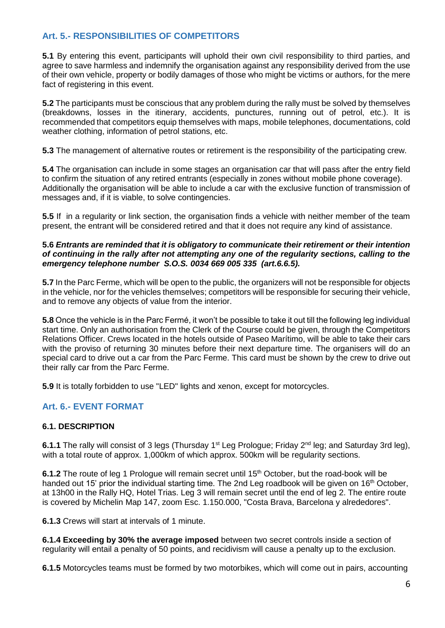# <span id="page-5-0"></span>**Art. 5.- RESPONSIBILITIES OF COMPETITORS**

**5.1** By entering this event, participants will uphold their own civil responsibility to third parties, and agree to save harmless and indemnify the organisation against any responsibility derived from the use of their own vehicle, property or bodily damages of those who might be victims or authors, for the mere fact of registering in this event.

**5.2** The participants must be conscious that any problem during the rally must be solved by themselves (breakdowns, losses in the itinerary, accidents, punctures, running out of petrol, etc.). It is recommended that competitors equip themselves with maps, mobile telephones, documentations, cold weather clothing, information of petrol stations, etc.

**5.3** The management of alternative routes or retirement is the responsibility of the participating crew.

**5.4** The organisation can include in some stages an organisation car that will pass after the entry field to confirm the situation of any retired entrants (especially in zones without mobile phone coverage). Additionally the organisation will be able to include a car with the exclusive function of transmission of messages and, if it is viable, to solve contingencies.

**5.5** If in a regularity or link section, the organisation finds a vehicle with neither member of the team present, the entrant will be considered retired and that it does not require any kind of assistance.

#### **5.6** *Entrants are reminded that it is obligatory to communicate their retirement or their intention of continuing in the rally after not attempting any one of the regularity sections, calling to the emergency telephone number S.O.S. 0034 669 005 335 (art.6.6.5).*

**5.7** In the Parc Ferme, which will be open to the public, the organizers will not be responsible for objects in the vehicle, nor for the vehicles themselves; competitors will be responsible for securing their vehicle, and to remove any objects of value from the interior.

**5.8** Once the vehicle is in the Parc Fermé, it won't be possible to take it out till the following leg individual start time. Only an authorisation from the Clerk of the Course could be given, through the Competitors Relations Officer. Crews located in the hotels outside of Paseo Marítimo, will be able to take their cars with the proviso of returning 30 minutes before their next departure time. The organisers will do an special card to drive out a car from the Parc Ferme. This card must be shown by the crew to drive out their rally car from the Parc Ferme.

**5.9** It is totally forbidden to use "LED" lights and xenon, except for motorcycles.

## <span id="page-5-1"></span>**Art. 6.- EVENT FORMAT**

#### **6.1. DESCRIPTION**

6.1.1 The rally will consist of 3 legs (Thursday 1<sup>st</sup> Leg Prologue; Friday 2<sup>nd</sup> leg; and Saturday 3rd leg), with a total route of approx. 1,000km of which approx. 500km will be regularity sections.

**6.1.2** The route of leg 1 Prologue will remain secret until 15<sup>th</sup> October, but the road-book will be handed out 15' prior the individual starting time. The 2nd Leg roadbook will be given on 16<sup>th</sup> October. at 13h00 in the Rally HQ, Hotel Trias. Leg 3 will remain secret until the end of leg 2. The entire route is covered by Michelin Map 147, zoom Esc. 1.150.000, "Costa Brava, Barcelona y alrededores".

**6.1.3** Crews will start at intervals of 1 minute.

**6.1.4 Exceeding by 30% the average imposed** between two secret controls inside a section of regularity will entail a penalty of 50 points, and recidivism will cause a penalty up to the exclusion.

**6.1.5** Motorcycles teams must be formed by two motorbikes, which will come out in pairs, accounting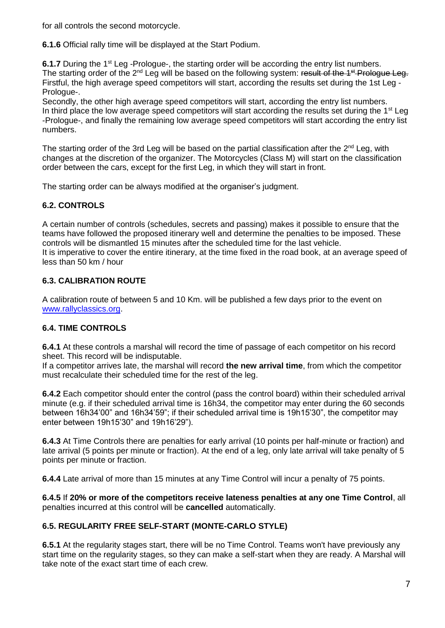for all controls the second motorcycle.

**6.1.6** Official rally time will be displayed at the Start Podium.

**6.1.7** During the 1<sup>st</sup> Leg -Prologue-, the starting order will be according the entry list numbers. The starting order of the 2<sup>nd</sup> Leg will be based on the following system: result of the 1<sup>st</sup> Prologue Leg. Firstful, the high average speed competitors will start, according the results set during the 1st Leg - Prologue-.

Secondly, the other high average speed competitors will start, according the entry list numbers. In third place the low average speed competitors will start according the results set during the 1<sup>st</sup> Leg -Prologue-, and finally the remaining low average speed competitors will start according the entry list numbers.

The starting order of the 3rd Leg will be based on the partial classification after the  $2^{nd}$  Leg, with changes at the discretion of the organizer. The Motorcycles (Class M) will start on the classification order between the cars, except for the first Leg, in which they will start in front.

The starting order can be always modified at the organiser's judgment.

# **6.2. CONTROLS**

A certain number of controls (schedules, secrets and passing) makes it possible to ensure that the teams have followed the proposed itinerary well and determine the penalties to be imposed. These controls will be dismantled 15 minutes after the scheduled time for the last vehicle. It is imperative to cover the entire itinerary, at the time fixed in the road book, at an average speed of less than 50 km / hour

## **6.3. CALIBRATION ROUTE**

A calibration route of between 5 and 10 Km. will be published a few days prior to the event on [www.rallyclassics.org.](http://www.rallyclassics.org/)

## **6.4. TIME CONTROLS**

**6.4.1** At these controls a marshal will record the time of passage of each competitor on his record sheet. This record will be indisputable.

If a competitor arrives late, the marshal will record **the new arrival time**, from which the competitor must recalculate their scheduled time for the rest of the leg.

**6.4.2** Each competitor should enter the control (pass the control board) within their scheduled arrival minute (e.g. if their scheduled arrival time is 16h34, the competitor may enter during the 60 seconds between 16h34'00" and 16h34'59"; if their scheduled arrival time is 19h15'30", the competitor may enter between 19h15'30" and 19h16'29").

**6.4.3** At Time Controls there are penalties for early arrival (10 points per half-minute or fraction) and late arrival (5 points per minute or fraction). At the end of a leg, only late arrival will take penalty of 5 points per minute or fraction.

**6.4.4** Late arrival of more than 15 minutes at any Time Control will incur a penalty of 75 points.

**6.4.5** If **20% or more of the competitors receive lateness penalties at any one Time Control**, all penalties incurred at this control will be **cancelled** automatically.

## **6.5. REGULARITY FREE SELF-START (MONTE-CARLO STYLE)**

**6.5.1** At the regularity stages start, there will be no Time Control. Teams won't have previously any start time on the regularity stages, so they can make a self-start when they are ready. A Marshal will take note of the exact start time of each crew.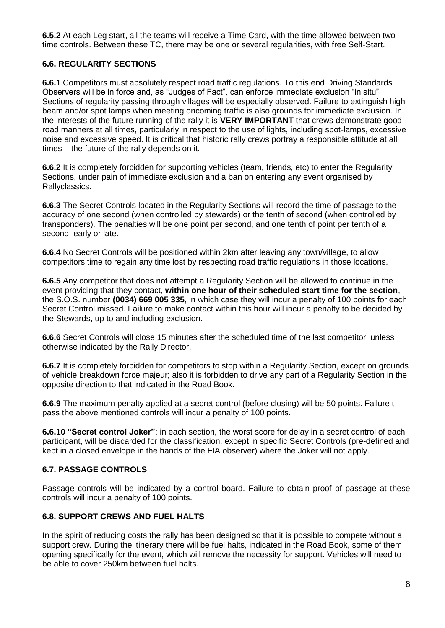**6.5.2** At each Leg start, all the teams will receive a Time Card, with the time allowed between two time controls. Between these TC, there may be one or several regularities, with free Self-Start.

#### **6.6. REGULARITY SECTIONS**

**6.6.1** Competitors must absolutely respect road traffic regulations. To this end Driving Standards Observers will be in force and, as "Judges of Fact", can enforce immediate exclusion "in situ". Sections of regularity passing through villages will be especially observed. Failure to extinguish high beam and/or spot lamps when meeting oncoming traffic is also grounds for immediate exclusion. In the interests of the future running of the rally it is **VERY IMPORTANT** that crews demonstrate good road manners at all times, particularly in respect to the use of lights, including spot-lamps, excessive noise and excessive speed. It is critical that historic rally crews portray a responsible attitude at all times – the future of the rally depends on it.

**6.6.2** It is completely forbidden for supporting vehicles (team, friends, etc) to enter the Regularity Sections, under pain of immediate exclusion and a ban on entering any event organised by Rallyclassics.

**6.6.3** The Secret Controls located in the Regularity Sections will record the time of passage to the accuracy of one second (when controlled by stewards) or the tenth of second (when controlled by transponders). The penalties will be one point per second, and one tenth of point per tenth of a second, early or late.

**6.6.4** No Secret Controls will be positioned within 2km after leaving any town/village, to allow competitors time to regain any time lost by respecting road traffic regulations in those locations.

**6.6.5** Any competitor that does not attempt a Regularity Section will be allowed to continue in the event providing that they contact, **within one hour of their scheduled start time for the section**, the S.O.S. number **(0034) 669 005 335**, in which case they will incur a penalty of 100 points for each Secret Control missed. Failure to make contact within this hour will incur a penalty to be decided by the Stewards, up to and including exclusion.

**6.6.6** Secret Controls will close 15 minutes after the scheduled time of the last competitor, unless otherwise indicated by the Rally Director.

**6.6.7** It is completely forbidden for competitors to stop within a Regularity Section, except on grounds of vehicle breakdown force majeur; also it is forbidden to drive any part of a Regularity Section in the opposite direction to that indicated in the Road Book.

**6.6.9** The maximum penalty applied at a secret control (before closing) will be 50 points. Failure t pass the above mentioned controls will incur a penalty of 100 points.

**6.6.10 "Secret control Joker"**: in each section, the worst score for delay in a secret control of each participant, will be discarded for the classification, except in specific Secret Controls (pre-defined and kept in a closed envelope in the hands of the FIA observer) where the Joker will not apply.

#### **6.7. PASSAGE CONTROLS**

Passage controls will be indicated by a control board. Failure to obtain proof of passage at these controls will incur a penalty of 100 points.

#### **6.8. SUPPORT CREWS AND FUEL HALTS**

In the spirit of reducing costs the rally has been designed so that it is possible to compete without a support crew. During the itinerary there will be fuel halts, indicated in the Road Book, some of them opening specifically for the event, which will remove the necessity for support. Vehicles will need to be able to cover 250km between fuel halts.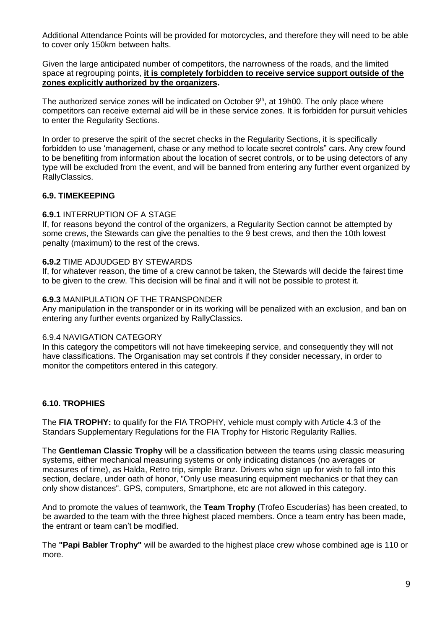Additional Attendance Points will be provided for motorcycles, and therefore they will need to be able to cover only 150km between halts.

Given the large anticipated number of competitors, the narrowness of the roads, and the limited space at regrouping points, **it is completely forbidden to receive service support outside of the zones explicitly authorized by the organizers.**

The authorized service zones will be indicated on October 9<sup>th</sup>, at 19h00. The only place where competitors can receive external aid will be in these service zones. It is forbidden for pursuit vehicles to enter the Regularity Sections.

In order to preserve the spirit of the secret checks in the Regularity Sections, it is specifically forbidden to use 'management, chase or any method to locate secret controls" cars. Any crew found to be benefiting from information about the location of secret controls, or to be using detectors of any type will be excluded from the event, and will be banned from entering any further event organized by RallyClassics.

#### **6.9. TIMEKEEPING**

#### **6.9.1** INTERRUPTION OF A STAGE

If, for reasons beyond the control of the organizers, a Regularity Section cannot be attempted by some crews, the Stewards can give the penalties to the 9 best crews, and then the 10th lowest penalty (maximum) to the rest of the crews.

#### **6.9.2** TIME ADJUDGED BY STEWARDS

If, for whatever reason, the time of a crew cannot be taken, the Stewards will decide the fairest time to be given to the crew. This decision will be final and it will not be possible to protest it.

#### **6.9.3** MANIPULATION OF THE TRANSPONDER

Any manipulation in the transponder or in its working will be penalized with an exclusion, and ban on entering any further events organized by RallyClassics.

#### 6.9.4 NAVIGATION CATEGORY

In this category the competitors will not have timekeeping service, and consequently they will not have classifications. The Organisation may set controls if they consider necessary, in order to monitor the competitors entered in this category.

#### **6.10. TROPHIES**

The **FIA TROPHY:** to qualify for the FIA TROPHY, vehicle must comply with Article 4.3 of the Standars Supplementary Regulations for the FIA Trophy for Historic Regularity Rallies.

The **Gentleman Classic Trophy** will be a classification between the teams using classic measuring systems, either mechanical measuring systems or only indicating distances (no averages or measures of time), as Halda, Retro trip, simple Branz. Drivers who sign up for wish to fall into this section, declare, under oath of honor, "Only use measuring equipment mechanics or that they can only show distances". GPS, computers, Smartphone, etc are not allowed in this category.

And to promote the values of teamwork, the **Team Trophy** (Trofeo Escuderías) has been created, to be awarded to the team with the three highest placed members. Once a team entry has been made, the entrant or team can't be modified.

The **"Papi Babler Trophy"** will be awarded to the highest place crew whose combined age is 110 or more.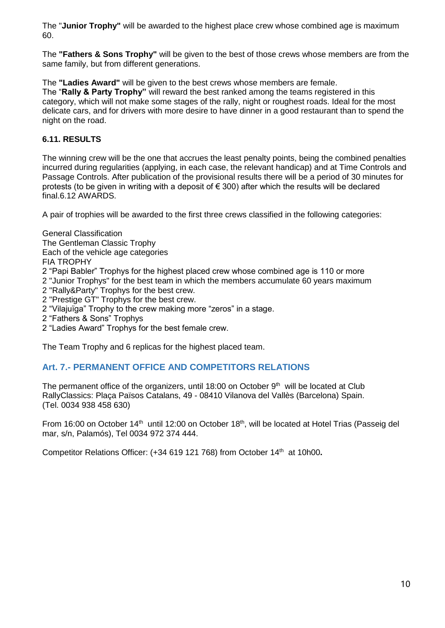The "**Junior Trophy"** will be awarded to the highest place crew whose combined age is maximum 60.

The **"Fathers & Sons Trophy"** will be given to the best of those crews whose members are from the same family, but from different generations.

The **"Ladies Award"** will be given to the best crews whose members are female.

The "**Rally & Party Trophy"** will reward the best ranked among the teams registered in this category, which will not make some stages of the rally, night or roughest roads. Ideal for the most delicate cars, and for drivers with more desire to have dinner in a good restaurant than to spend the night on the road.

## **6.11. RESULTS**

The winning crew will be the one that accrues the least penalty points, being the combined penalties incurred during regularities (applying, in each case, the relevant handicap) and at Time Controls and Passage Controls. After publication of the provisional results there will be a period of 30 minutes for protests (to be given in writing with a deposit of  $\epsilon$  300) after which the results will be declared final.6.12 AWARDS.

A pair of trophies will be awarded to the first three crews classified in the following categories:

- General Classification The Gentleman Classic Trophy Each of the vehicle age categories FIA TROPHY 2 "Papi Babler" Trophys for the highest placed crew whose combined age is 110 or more 2 "Junior Trophys" for the best team in which the members accumulate 60 years maximum 2 "Rally&Party" Trophys for the best crew. 2 "Prestige GT" Trophys for the best crew. 2 "Vilajuïga" Trophy to the crew making more "zeros" in a stage. 2 "Fathers & Sons" Trophys
- 2 "Ladies Award" Trophys for the best female crew.

The Team Trophy and 6 replicas for the highest placed team.

# <span id="page-9-0"></span>**Art. 7.- PERMANENT OFFICE AND COMPETITORS RELATIONS**

The permanent office of the organizers, until 18:00 on October  $9<sup>th</sup>$  will be located at Club RallyClassics: Plaça Països Catalans, 49 - 08410 Vilanova del Vallès (Barcelona) Spain. (Tel. 0034 938 458 630)

From 16:00 on October 14<sup>th</sup> until 12:00 on October 18<sup>th</sup>, will be located at Hotel Trias (Passeig del mar, s/n, Palamós), Tel 0034 972 374 444.

Competitor Relations Officer: (+34 619 121 768) from October 14<sup>th</sup> at 10h00.